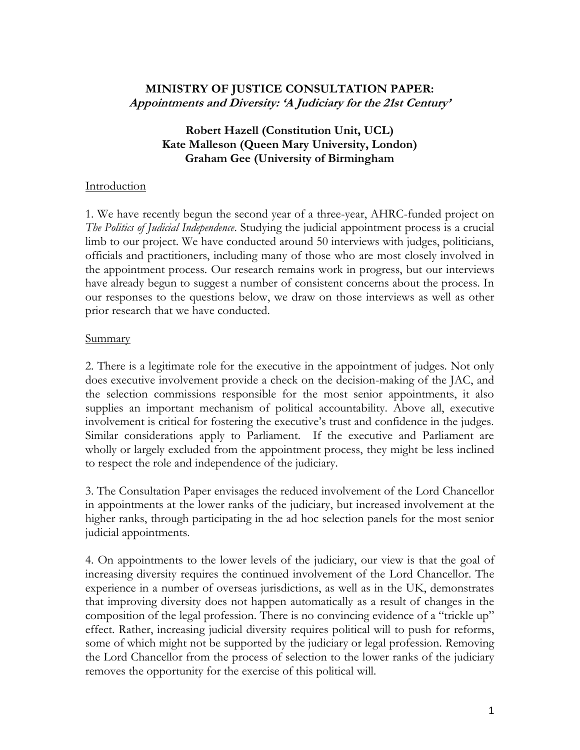# **MINISTRY OF JUSTICE CONSULTATION PAPER: Appointments and Diversity: 'A Judiciary for the 21st Century'**

## **Robert Hazell (Constitution Unit, UCL) Kate Malleson (Queen Mary University, London) Graham Gee (University of Birmingham**

### **Introduction**

1. We have recently begun the second year of a three-year, AHRC-funded project on *The Politics of Judicial Independence*. Studying the judicial appointment process is a crucial limb to our project. We have conducted around 50 interviews with judges, politicians, officials and practitioners, including many of those who are most closely involved in the appointment process. Our research remains work in progress, but our interviews have already begun to suggest a number of consistent concerns about the process. In our responses to the questions below, we draw on those interviews as well as other prior research that we have conducted.

### Summary

2. There is a legitimate role for the executive in the appointment of judges. Not only does executive involvement provide a check on the decision-making of the JAC, and the selection commissions responsible for the most senior appointments, it also supplies an important mechanism of political accountability. Above all, executive involvement is critical for fostering the executive's trust and confidence in the judges. Similar considerations apply to Parliament. If the executive and Parliament are wholly or largely excluded from the appointment process, they might be less inclined to respect the role and independence of the judiciary.

3. The Consultation Paper envisages the reduced involvement of the Lord Chancellor in appointments at the lower ranks of the judiciary, but increased involvement at the higher ranks, through participating in the ad hoc selection panels for the most senior judicial appointments.

4. On appointments to the lower levels of the judiciary, our view is that the goal of increasing diversity requires the continued involvement of the Lord Chancellor. The experience in a number of overseas jurisdictions, as well as in the UK, demonstrates that improving diversity does not happen automatically as a result of changes in the composition of the legal profession. There is no convincing evidence of a "trickle up" effect. Rather, increasing judicial diversity requires political will to push for reforms, some of which might not be supported by the judiciary or legal profession. Removing the Lord Chancellor from the process of selection to the lower ranks of the judiciary removes the opportunity for the exercise of this political will.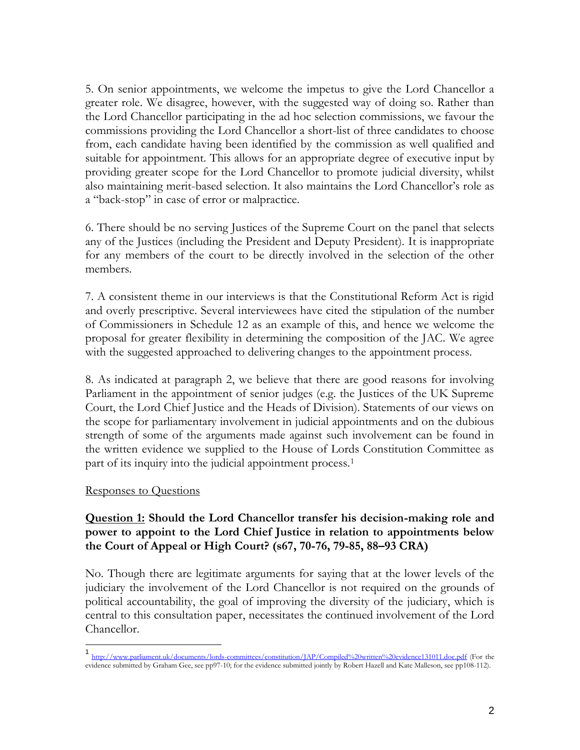5. On senior appointments, we welcome the impetus to give the Lord Chancellor a greater role. We disagree, however, with the suggested way of doing so. Rather than the Lord Chancellor participating in the ad hoc selection commissions, we favour the commissions providing the Lord Chancellor a short-list of three candidates to choose from, each candidate having been identified by the commission as well qualified and suitable for appointment. This allows for an appropriate degree of executive input by providing greater scope for the Lord Chancellor to promote judicial diversity, whilst also maintaining merit-based selection. It also maintains the Lord Chancellor's role as a "back-stop" in case of error or malpractice.

6. There should be no serving Justices of the Supreme Court on the panel that selects any of the Justices (including the President and Deputy President). It is inappropriate for any members of the court to be directly involved in the selection of the other members.

7. A consistent theme in our interviews is that the Constitutional Reform Act is rigid and overly prescriptive. Several interviewees have cited the stipulation of the number of Commissioners in Schedule 12 as an example of this, and hence we welcome the proposal for greater flexibility in determining the composition of the JAC. We agree with the suggested approached to delivering changes to the appointment process.

8. As indicated at paragraph 2, we believe that there are good reasons for involving Parliament in the appointment of senior judges (e.g. the Justices of the UK Supreme Court, the Lord Chief Justice and the Heads of Division). Statements of our views on the scope for parliamentary involvement in judicial appointments and on the dubious strength of some of the arguments made against such involvement can be found in the written evidence we supplied to the House of Lords Constitution Committee as part of its inquiry into the judicial appointment process.<sup>1</sup>

### Responses to Questions

## **Question 1: Should the Lord Chancellor transfer his decision-making role and power to appoint to the Lord Chief Justice in relation to appointments below the Court of Appeal or High Court? (s67, 70-76, 79-85, 88–93 CRA)**

No. Though there are legitimate arguments for saying that at the lower levels of the judiciary the involvement of the Lord Chancellor is not required on the grounds of political accountability, the goal of improving the diversity of the judiciary, which is central to this consultation paper, necessitates the continued involvement of the Lord Chancellor.

<sup>1</sup> <http://www.parliament.uk/documents/lords-committees/constitution/JAP/Compiled%20written%20evidence131011.doc.pdf> (For the evidence submitted by Graham Gee, see pp97-10; for the evidence submitted jointly by Robert Hazell and Kate Malleson, see pp108-112).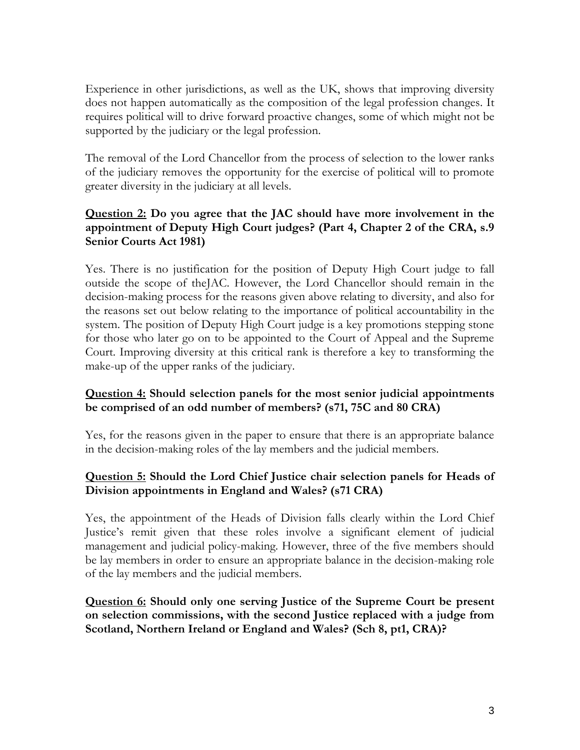Experience in other jurisdictions, as well as the UK, shows that improving diversity does not happen automatically as the composition of the legal profession changes. It requires political will to drive forward proactive changes, some of which might not be supported by the judiciary or the legal profession.

The removal of the Lord Chancellor from the process of selection to the lower ranks of the judiciary removes the opportunity for the exercise of political will to promote greater diversity in the judiciary at all levels.

# **Question 2: Do you agree that the JAC should have more involvement in the appointment of Deputy High Court judges? (Part 4, Chapter 2 of the CRA, s.9 Senior Courts Act 1981)**

Yes. There is no justification for the position of Deputy High Court judge to fall outside the scope of theJAC. However, the Lord Chancellor should remain in the decision-making process for the reasons given above relating to diversity, and also for the reasons set out below relating to the importance of political accountability in the system. The position of Deputy High Court judge is a key promotions stepping stone for those who later go on to be appointed to the Court of Appeal and the Supreme Court. Improving diversity at this critical rank is therefore a key to transforming the make-up of the upper ranks of the judiciary.

# **Question 4: Should selection panels for the most senior judicial appointments be comprised of an odd number of members? (s71, 75C and 80 CRA)**

Yes, for the reasons given in the paper to ensure that there is an appropriate balance in the decision-making roles of the lay members and the judicial members.

# **Question 5: Should the Lord Chief Justice chair selection panels for Heads of Division appointments in England and Wales? (s71 CRA)**

Yes, the appointment of the Heads of Division falls clearly within the Lord Chief Justice's remit given that these roles involve a significant element of judicial management and judicial policy-making. However, three of the five members should be lay members in order to ensure an appropriate balance in the decision-making role of the lay members and the judicial members.

## **Question 6: Should only one serving Justice of the Supreme Court be present on selection commissions, with the second Justice replaced with a judge from Scotland, Northern Ireland or England and Wales? (Sch 8, pt1, CRA)?**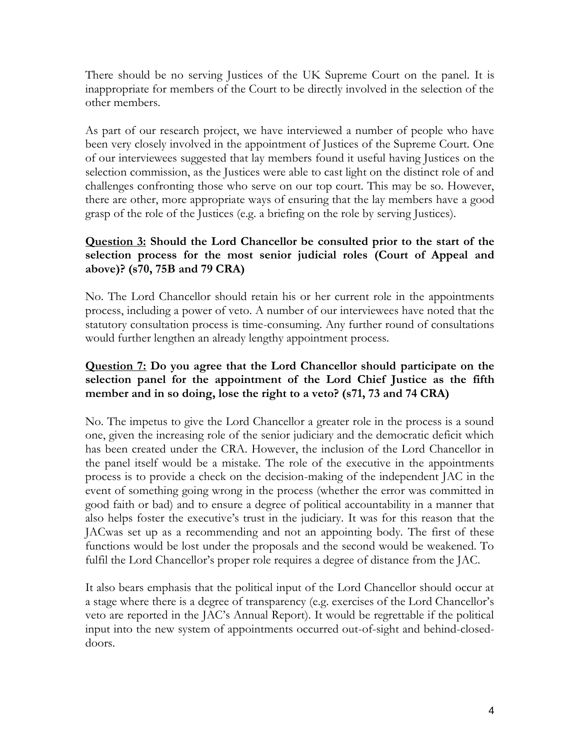There should be no serving Justices of the UK Supreme Court on the panel. It is inappropriate for members of the Court to be directly involved in the selection of the other members.

As part of our research project, we have interviewed a number of people who have been very closely involved in the appointment of Justices of the Supreme Court. One of our interviewees suggested that lay members found it useful having Justices on the selection commission, as the Justices were able to cast light on the distinct role of and challenges confronting those who serve on our top court. This may be so. However, there are other, more appropriate ways of ensuring that the lay members have a good grasp of the role of the Justices (e.g. a briefing on the role by serving Justices).

# **Question 3: Should the Lord Chancellor be consulted prior to the start of the selection process for the most senior judicial roles (Court of Appeal and above)? (s70, 75B and 79 CRA)**

No. The Lord Chancellor should retain his or her current role in the appointments process, including a power of veto. A number of our interviewees have noted that the statutory consultation process is time-consuming. Any further round of consultations would further lengthen an already lengthy appointment process.

# **Question 7: Do you agree that the Lord Chancellor should participate on the selection panel for the appointment of the Lord Chief Justice as the fifth member and in so doing, lose the right to a veto? (s71, 73 and 74 CRA)**

No. The impetus to give the Lord Chancellor a greater role in the process is a sound one, given the increasing role of the senior judiciary and the democratic deficit which has been created under the CRA. However, the inclusion of the Lord Chancellor in the panel itself would be a mistake. The role of the executive in the appointments process is to provide a check on the decision-making of the independent JAC in the event of something going wrong in the process (whether the error was committed in good faith or bad) and to ensure a degree of political accountability in a manner that also helps foster the executive's trust in the judiciary. It was for this reason that the JACwas set up as a recommending and not an appointing body. The first of these functions would be lost under the proposals and the second would be weakened. To fulfil the Lord Chancellor's proper role requires a degree of distance from the JAC.

It also bears emphasis that the political input of the Lord Chancellor should occur at a stage where there is a degree of transparency (e.g. exercises of the Lord Chancellor's veto are reported in the JAC's Annual Report). It would be regrettable if the political input into the new system of appointments occurred out-of-sight and behind-closeddoors.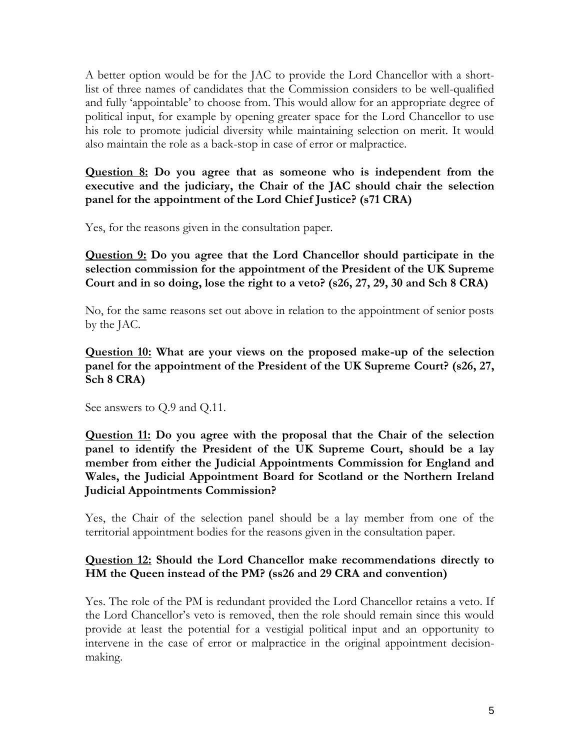A better option would be for the JAC to provide the Lord Chancellor with a shortlist of three names of candidates that the Commission considers to be well-qualified and fully 'appointable' to choose from. This would allow for an appropriate degree of political input, for example by opening greater space for the Lord Chancellor to use his role to promote judicial diversity while maintaining selection on merit. It would also maintain the role as a back-stop in case of error or malpractice.

**Question 8: Do you agree that as someone who is independent from the executive and the judiciary, the Chair of the JAC should chair the selection panel for the appointment of the Lord Chief Justice? (s71 CRA)**

Yes, for the reasons given in the consultation paper.

**Question 9: Do you agree that the Lord Chancellor should participate in the selection commission for the appointment of the President of the UK Supreme Court and in so doing, lose the right to a veto? (s26, 27, 29, 30 and Sch 8 CRA)**

No, for the same reasons set out above in relation to the appointment of senior posts by the JAC.

**Question 10: What are your views on the proposed make-up of the selection panel for the appointment of the President of the UK Supreme Court? (s26, 27, Sch 8 CRA)**

See answers to Q.9 and Q.11.

**Question 11: Do you agree with the proposal that the Chair of the selection panel to identify the President of the UK Supreme Court, should be a lay member from either the Judicial Appointments Commission for England and Wales, the Judicial Appointment Board for Scotland or the Northern Ireland Judicial Appointments Commission?**

Yes, the Chair of the selection panel should be a lay member from one of the territorial appointment bodies for the reasons given in the consultation paper.

# **Question 12: Should the Lord Chancellor make recommendations directly to HM the Queen instead of the PM? (ss26 and 29 CRA and convention)**

Yes. The role of the PM is redundant provided the Lord Chancellor retains a veto. If the Lord Chancellor's veto is removed, then the role should remain since this would provide at least the potential for a vestigial political input and an opportunity to intervene in the case of error or malpractice in the original appointment decisionmaking.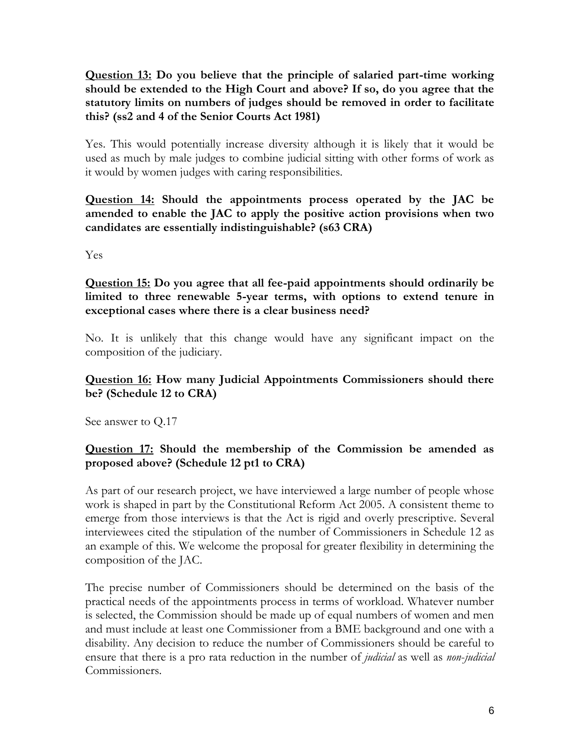**Question 13: Do you believe that the principle of salaried part-time working should be extended to the High Court and above? If so, do you agree that the statutory limits on numbers of judges should be removed in order to facilitate this? (ss2 and 4 of the Senior Courts Act 1981)**

Yes. This would potentially increase diversity although it is likely that it would be used as much by male judges to combine judicial sitting with other forms of work as it would by women judges with caring responsibilities.

**Question 14: Should the appointments process operated by the JAC be amended to enable the JAC to apply the positive action provisions when two candidates are essentially indistinguishable? (s63 CRA)**

Yes

**Question 15: Do you agree that all fee-paid appointments should ordinarily be limited to three renewable 5-year terms, with options to extend tenure in exceptional cases where there is a clear business need?**

No. It is unlikely that this change would have any significant impact on the composition of the judiciary.

# **Question 16: How many Judicial Appointments Commissioners should there be? (Schedule 12 to CRA)**

See answer to Q.17

# **Question 17: Should the membership of the Commission be amended as proposed above? (Schedule 12 pt1 to CRA)**

As part of our research project, we have interviewed a large number of people whose work is shaped in part by the Constitutional Reform Act 2005. A consistent theme to emerge from those interviews is that the Act is rigid and overly prescriptive. Several interviewees cited the stipulation of the number of Commissioners in Schedule 12 as an example of this. We welcome the proposal for greater flexibility in determining the composition of the JAC.

The precise number of Commissioners should be determined on the basis of the practical needs of the appointments process in terms of workload. Whatever number is selected, the Commission should be made up of equal numbers of women and men and must include at least one Commissioner from a BME background and one with a disability. Any decision to reduce the number of Commissioners should be careful to ensure that there is a pro rata reduction in the number of *judicial* as well as *non*-*judicial* Commissioners.